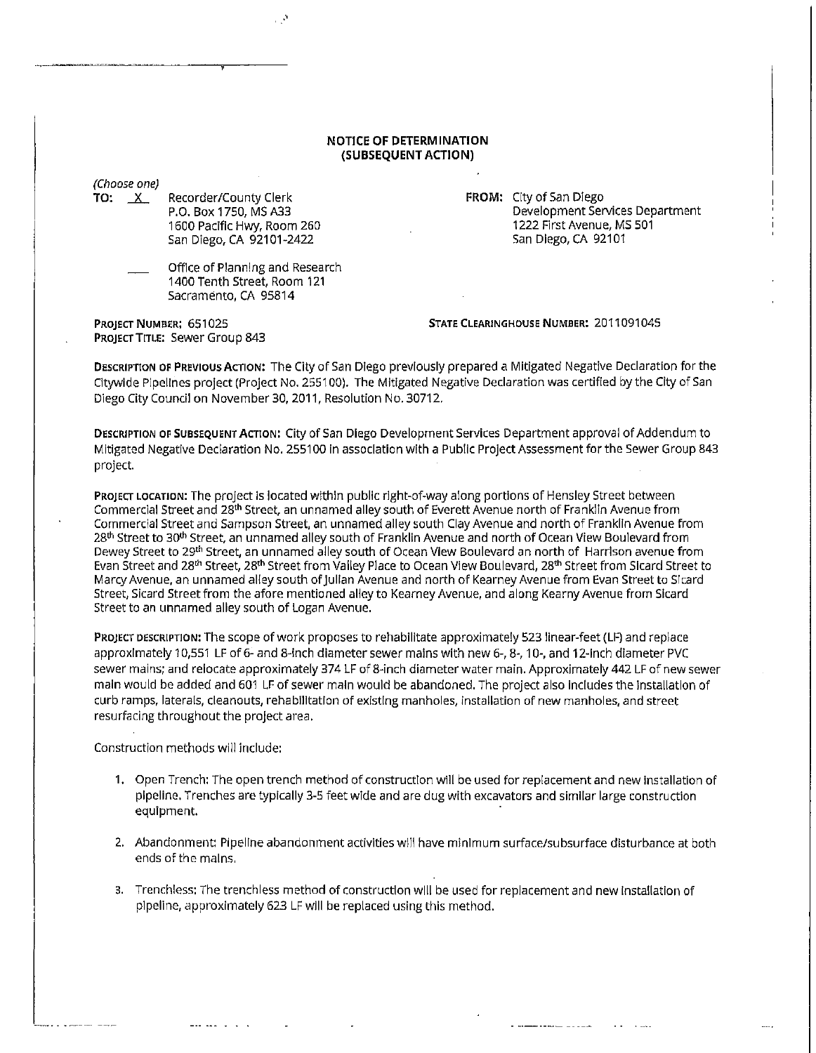## **NOTICE OF DETERMINATION (SUBSEQUENT ACTION)**

(Choose one)

**TO:**  $X$ Recorder/County Clerk P.O. Box 1750, MS A33 1600 Pacific Hwy, Room 260 San Diego, CA 92101-2422

> Office of Planning and Research 1400 Tenth Street, Room 121 Sacramento, CA 95814

Development Services Department 1222 First Avenue, MS 501 San Diego, CA 92101

PROJECT NUMBER: 651025 PROJECT TITLE: Sewer Group 843 **STATE CLEARINGHOUSE NUMBER:** 2011091045

**FROM:** City of San Diego

**DESCRIPTION OF PREVIOUS ACTION:** The City of San Diego previously prepared a Mitigated Negative Declaration for the Citywide Pipelines project (Project No. 255100). The Mitigated Negative Declaration was certified by the City of San Diego City Council on November 30, 2011, Resolution No. 30712.

DESCRIPTION OF SUBSEQUENT ACTION: City of San Diego Development Services Department approval of Addendum to Mitigated Negative Declaration No. 255100 in association with a Public Project Assessment for the Sewer Group 843 project.

PROJECT LOCATION: The project is located within public right-of-way along portions of Hensley Street between Commercial Street and 28th Street, an unnamed alley south of Everett Avenue north of Franklin Avenue from Commercial Street and Sampson Street, an unnamed alley south Clay Avenue and north of Franklin Avenue from 28<sup>th</sup> Street to 30<sup>th</sup> Street, an unnamed alley south of Franklin Avenue and north of Ocean View Boulevard from Dewey Street to 29th Street, an unnamed alley south of Ocean View Boulevard an north of Harrison avenue from Evan Street and 28<sup>th</sup> Street, 28<sup>th</sup> Street from Valley Place to Ocean View Boulevard, 28<sup>th</sup> Street from Sicard Street to Marcy Avenue, an unnamed alley south of Julian Avenue and north of Kearney Avenue from Evan Street to Sicard Street, Sicard Street from the afore mentioned alley to Kearney Avenue, and along Kearny Avenue from Sicard Street to an unnamed alley south of Logan Avenue.

PROJECT DESCRIPTION: The scope of work proposes to rehabilitate approximately 523 llnear-feet (LF) and replace approximately 10,551 LF of 6- and 8-inch diameter sewer mains with new 6-, 8-, 10-, and 12-lnch diameter PVC sewer mains; and relocate approximately 374 LF of 8-inch diameter water main. Approximately 442 LF of new sewer main would be added and 601 LF of sewer main would be abandoned. The project also includes the Installation of curb ramps, laterals, cleanouts, rehabllltatlon of existing manholes, installation of new manholes, and street resurfacing throughout the project area.

Construction methods will include:

- 1. Open Trench: The open trench method of construction will be used for replacement and new Installation of pipeline, Trenches are typically 3-5 feet wide and are dug with excavators and similar large construction equipment.
- 2. Abandonment: Pipeline abandonment activities will have minimum surface/subsurface disturbance at both ends of the mains.
- 3. Trenchless: The trenchless method of construction will be used for replacement and new installation of pipeline, approximately 623 LF will be replaced using this method.